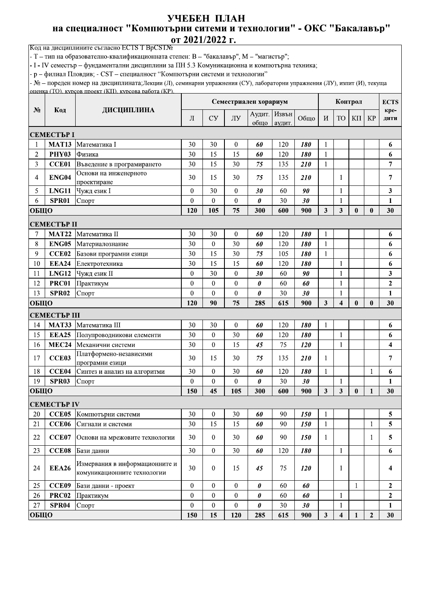## УЧЕБЕН ПЛАН на специалност "Компютърни ситеми и технологии" - ОКС "Бакалавър" от 2021/2022 г.

Код на дисциплините съгласно ECTS T BpCSTNo

- Т - тип на образователно-квалификационната степен: В - "бакалавър", М - "магистър";

- I - IV семестър – фундаментални дисциплини за ПН 5.3 Комуникационна и компютърна техника;

- р - филиал Пловдив; - CST - специалност "Компютърни системи и технологии"

- № - пореден номер на дисциплината;Лекции (Л), семинарни упражнения (СУ), лабораторни упражнения (ЛУ), изпит (И), текуща оценка (TO), курсов проект (KII), курсова работа (KP).

|              |                    |                                                               |                  |                  |                  | Семестриален хорариум |                 |            |                     | Контрол<br><b>ECTS</b> |              |                  |                  |  |
|--------------|--------------------|---------------------------------------------------------------|------------------|------------------|------------------|-----------------------|-----------------|------------|---------------------|------------------------|--------------|------------------|------------------|--|
| $N_2$        | Код                | ДИСЦИПЛИНА                                                    | Л                | <b>CY</b>        | ЛУ               | Аудит.  <br>обшо      | Извън<br>аудит. | Общо       | $\boldsymbol{M}$    | <b>TO</b>              | ΚП           | <b>KP</b>        | кре-<br>ДИТИ     |  |
| СЕМЕСТЪР І   |                    |                                                               |                  |                  |                  |                       |                 |            |                     |                        |              |                  |                  |  |
|              | <b>MAT13</b>       | Математика I                                                  | 30               | 30               | $\mathbf{0}$     | 60                    | 120             | 180        | 1                   |                        |              |                  | 6                |  |
| 2            | <b>PHY03</b>       | Физика                                                        | 30               | 15               | 15               | 60                    | 120             | 180        | 1                   |                        |              |                  | 6                |  |
| 3            | CCE01              | Въведение в програмирането                                    | 30               | 15               | 30               | 75                    | 135             | <b>210</b> | 1                   |                        |              |                  | $\overline{7}$   |  |
| 4            | ENG04              | Основи на инженерното<br>проектиране                          | 30               | 15               | 30               | 75                    | 135             | <b>210</b> |                     | 1                      |              |                  | 7                |  |
| 5            | LNG11              | Чужд език I                                                   | 0                | 30               | $\boldsymbol{0}$ | 30                    | 60              | 90         |                     | 1                      |              |                  | 3                |  |
| 6            | <b>SPR01</b>       | Спорт                                                         | $\mathbf{0}$     | $\overline{0}$   | $\mathbf{0}$     | 0                     | 30              | 30         |                     | 1                      |              |                  | $\mathbf{1}$     |  |
| ОБЩО         |                    |                                                               | 120              | 105              | 75               | 300                   | 600             | 900        | 3                   | 3                      | $\bf{0}$     | $\bf{0}$         | 30               |  |
|              | СЕМЕСТЪР II        |                                                               |                  |                  |                  |                       |                 |            |                     |                        |              |                  |                  |  |
| 7            | <b>MAT22</b>       | Математика II                                                 | 30               | 30               | $\boldsymbol{0}$ | 60                    | 120             | 180        | 1                   |                        |              |                  | 6                |  |
| 8            | <b>ENG05</b>       | Материалознание                                               | 30               | $\overline{0}$   | 30               | 60                    | 120             | 180        | $\mathbf{1}$        |                        |              |                  | 6                |  |
| 9            | CCE02              | Базови програмни езици                                        | 30               | 15               | 30               | 75                    | 105             | 180        | 1                   |                        |              |                  | 6                |  |
| 10           | <b>EEA24</b>       | Електротехника                                                | 30               | 15               | 15               | 60                    | 120             | 180        |                     | 1                      |              |                  | 6                |  |
| 11           | LNG12              | Чужд език II                                                  | $\bf{0}$         | 30               | $\mathbf{0}$     | 30                    | 60              | 90         |                     | $\mathbf{1}$           |              |                  | 3                |  |
| 12           | <b>PRC01</b>       | Практикум                                                     | $\mathbf{0}$     | $\theta$         | $\theta$         | 0                     | 60              | 60         |                     | $\mathbf{1}$           |              |                  | $\mathbf{2}$     |  |
| 13           | <b>SPR02</b>       | Спорт                                                         | $\mathbf{0}$     | $\mathbf{0}$     | $\boldsymbol{0}$ | 0                     | 30              | 30         |                     | 1                      |              |                  | $\mathbf{1}$     |  |
| ОБЩО         |                    | 120                                                           | 90               | 75               | 285              | 615                   | 900             | 3          | $\overline{\bf{4}}$ | $\bf{0}$               | $\bf{0}$     | 30               |                  |  |
| СЕМЕСТЪР III |                    |                                                               |                  |                  |                  |                       |                 |            |                     |                        |              |                  |                  |  |
| 14           | <b>MAT33</b>       | Математика III                                                | 30               | 30               | $\overline{0}$   | 60                    | 120             | 180        | 1                   |                        |              |                  | 6                |  |
| 15           | <b>EEA25</b>       | Полупроводникови елементи                                     | 30               | $\boldsymbol{0}$ | 30               | 60                    | 120             | 180        |                     | 1                      |              |                  | 6                |  |
| 16           | <b>MEC24</b>       | Механични системи                                             | 30               | $\mathbf{0}$     | 15               | 45                    | 75              | <b>120</b> |                     | 1                      |              |                  | 4                |  |
| 17           | <b>CCE03</b>       | Платформено-независими<br>програмни езици                     | 30               | 15               | 30               | 75                    | 135             | <b>210</b> | 1                   |                        |              |                  | 7                |  |
| 18           | <b>CCE04</b>       | Синтез и анализ на алгоритми                                  | 30               | $\boldsymbol{0}$ | 30               | 60                    | 120             | 180        | 1                   |                        |              | 1                | 6                |  |
| 19           | SPR <sub>03</sub>  | Спорт                                                         | $\mathbf{0}$     | $\mathbf{0}$     | $\boldsymbol{0}$ | 0                     | 30              | 30         |                     | 1                      |              |                  | $\mathbf{1}$     |  |
| ОБЩО         |                    |                                                               | 150              | 45               | 105              | 300                   | 600             | 900        | 3                   | 3                      | $\bf{0}$     | 1                | 30               |  |
|              | <b>СЕМЕСТЪР IV</b> |                                                               |                  |                  |                  |                       |                 |            |                     |                        |              |                  |                  |  |
| 20           | CCE <sub>05</sub>  | Компютърни системи                                            | 30               | 0                | 30               | 60                    | 90              | 150        | 1                   |                        |              |                  | 5                |  |
| 21           | CCE <sub>06</sub>  | Сигнали и системи                                             | 30               | 15               | 15               | 60                    | 90              | 150        | 1                   |                        |              | 1                | 5                |  |
| 22           | CCE07              | Основи на мрежовите технологии                                | 30               | $\bf{0}$         | 30               | 60                    | 90              | 150        | 1                   |                        |              | 1                | 5                |  |
| 23           | CCE <sub>08</sub>  | Бази данни                                                    | 30               | $\bf{0}$         | 30               | 60                    | 120             | 180        |                     | $\mathbf{1}$           |              |                  | 6                |  |
| 24           | <b>EEA26</b>       | Измервания в информационните и<br>комуникационните технологии | 30               | $\overline{0}$   | 15               | 45                    | 75              | 120        |                     | 1                      |              |                  | 4                |  |
| 25           | CCE09              | Бази данни - проект                                           | $\boldsymbol{0}$ | $\bf{0}$         | $\boldsymbol{0}$ | 0                     | 60              | 60         |                     |                        | $\mathbf{1}$ |                  | $\boldsymbol{2}$ |  |
| 26           | <b>PRC02</b>       | Практикум                                                     | $\mathbf{0}$     | $\mathbf{0}$     | $\boldsymbol{0}$ | 0                     | 60              | 60         |                     | 1                      |              |                  | $\mathbf{2}$     |  |
| 27           | <b>SPR04</b>       | Спорт                                                         | 0                | $\overline{0}$   | $\mathbf{0}$     | 0                     | 30              | 30         |                     | 1                      |              |                  | $\mathbf{1}$     |  |
| ОБЩО         |                    |                                                               | 150              | 15               | 120              | 285                   | 615             | 900        | 3                   | $\overline{\bf{4}}$    |              | $\boldsymbol{2}$ | 30               |  |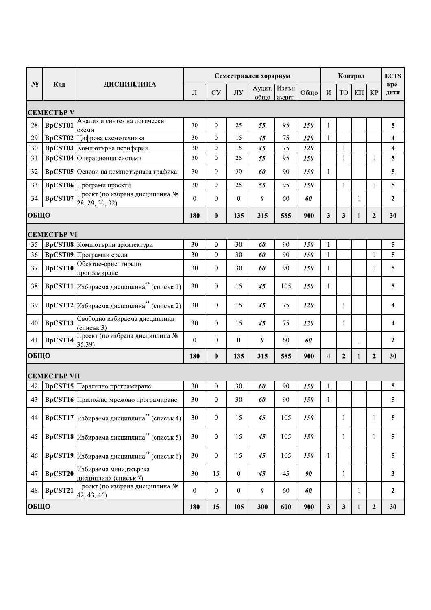|       |                    |                                                       | Семестриален хорариум<br>Контрол |                  |                  |                        |        |            |                         |                |              |                | <b>ECTS</b>    |
|-------|--------------------|-------------------------------------------------------|----------------------------------|------------------|------------------|------------------------|--------|------------|-------------------------|----------------|--------------|----------------|----------------|
| $N_2$ | Код                | ДИСЦИПЛИНА                                            | Л                                | <b>CY</b>        | ЛУ               | Аудит.   Извън<br>общо | аудит. | Общо       | И                       | <b>TO</b>      | ΚП           | <b>KP</b>      | кре-<br>дити   |
|       | <b>СЕМЕСТЪР V</b>  |                                                       |                                  |                  |                  |                        |        |            |                         |                |              |                |                |
| 28    | <b>BpCST01</b>     | Анализ и синтез на логически<br>схеми                 | 30                               | $\mathbf{0}$     | 25               | 55                     | 95     | 150        | 1                       |                |              |                | 5              |
| 29    |                    | ВрСSТ02 Цифрова схемотехника                          | 30                               | $\overline{0}$   | 15               | 45                     | 75     | 120        | $\mathbf{1}$            |                |              |                | 4              |
| 30    |                    | ВрСSТ03 Компютърна периферия                          | 30                               | $\mathbf{0}$     | 15               | 45                     | 75     | <b>120</b> |                         | $\mathbf{1}$   |              |                | 4              |
| 31    |                    | <b>BpCST04</b> Операционни системи                    | 30                               | $\mathbf{0}$     | 25               | 55                     | 95     | 150        |                         | $\mathbf{1}$   |              | $\mathbf{1}$   | 5              |
| 32    |                    | <b>BpCST05</b> Основи на компютърната графика         | 30                               | $\boldsymbol{0}$ | 30               | 60                     | 90     | 150        | $\mathbf{1}$            |                |              |                | 5              |
| 33    |                    | <b>ВрСSТ06</b> Програми проекти                       | 30                               | $\theta$         | 25               | 55                     | 95     | 150        |                         | $\mathbf{1}$   |              | $\mathbf{1}$   | 5              |
| 34    | BpCST07            | Проект (по избрана дисциплина №<br>28, 29, 30, 32)    | $\mathbf{0}$                     | $\overline{0}$   | 0                | 0                      | 60     | 60         |                         |                | 1            |                | $\mathbf{2}$   |
| ОБЩО  |                    |                                                       | 180                              | $\boldsymbol{0}$ | 135              | 315                    | 585    | 900        | 3                       | 3              | 1            | $\overline{2}$ | 30             |
|       | <b>СЕМЕСТЪР VI</b> |                                                       |                                  |                  |                  |                        |        |            |                         |                |              |                |                |
| 35    |                    | <b>BpCST08</b>  Компютърни архитектури                | 30                               | $\mathbf{0}$     | 30               | 60                     | 90     | 150        | 1                       |                |              |                | 5              |
| 36    |                    | <b>ВрСЅТ09</b> Програмни среди                        | 30                               | $\mathbf{0}$     | 30               | 60                     | 90     | <b>150</b> | 1                       |                |              | $\mathbf{1}$   | 5              |
| 37    | <b>BpCST10</b>     | Обектно-ориентирано<br>програмиране                   | 30                               | $\mathbf{0}$     | 30               | 60                     | 90     | 150        | 1                       |                |              | 1              | 5              |
| 38    |                    | ВрСST11 Избираема дисциплина <sup>**</sup> (списък 1) | 30                               | $\theta$         | 15               | 45                     | 105    | 150        | 1                       |                |              |                | 5              |
| 39    |                    | ВрСST12 Избираема дисциплина <sup>**</sup> (списък 2) | 30                               | $\theta$         | 15               | 45                     | 75     | 120        |                         | 1              |              |                | 4              |
| 40    | BpCST13            | Свободно избираема дисциплина<br>(списък 3)           | 30                               | $\theta$         | 15               | 45                     | 75     | <b>120</b> |                         | 1              |              |                | 4              |
| 41    | BpCST14            | Проект (по избрана дисциплина №<br>35,39)             | $\mathbf{0}$                     | $\overline{0}$   | $\bf{0}$         | 0                      | 60     | 60         |                         |                | 1            |                | $\overline{2}$ |
| ОБЩО  |                    |                                                       | 180                              | $\bf{0}$         | 135              | 315                    | 585    | 900        | $\overline{\mathbf{4}}$ | $\overline{2}$ | $\mathbf{1}$ | $\overline{2}$ | 30             |
|       | СЕМЕСТЪР VII       |                                                       |                                  |                  |                  |                        |        |            |                         |                |              |                |                |
| 42    |                    | <b>ВрСST15</b> Паралелно програмиране                 | 30                               | $\theta$         | 30               | 60                     | 90     | 150        | 1                       |                |              |                | 5              |
| 43    |                    | <b>ВрСST16</b> Приложно мрежово програмиране          | 30                               | $\boldsymbol{0}$ | 30               | 60                     | 90     | 150        | 1                       |                |              |                | 5              |
| 44    |                    | ВрСST17 Избираема дисциплина <sup>**</sup> (списък 4) | 30                               | $\theta$         | 15               | 45                     | 105    | 150        |                         | $\mathbf{1}$   |              | 1              | 5              |
| 45    |                    | ВрСST18 Избираема дисциплина** (списък 5)             | 30                               | $\mathbf{0}$     | 15               | 45                     | 105    | <b>150</b> |                         | 1              |              | 1              | 5              |
| 46    |                    | ВрСST19 Избираема дисциплина <sup>**</sup> (списък 6) | 30                               | $\mathbf{0}$     | 15               | 45                     | 105    | 150        | 1                       |                |              |                | 5              |
| 47    | BpCST20            | Избираема мениджърска<br>дисциплина (списък 7)        | 30                               | 15               | $\bf{0}$         | 45                     | 45     | 90         |                         | 1              |              |                | 3              |
| 48    | BpCST21            | Проект (по избрана дисциплина №<br>42, 43, 46)        | $\boldsymbol{0}$                 | $\mathbf{0}$     | $\boldsymbol{0}$ | $\boldsymbol{\theta}$  | 60     | 60         |                         |                | 1            |                | $\mathbf{2}$   |
| ОБЩО  |                    |                                                       | 180                              | 15               | 105              | 300                    | 600    | 900        | $\mathbf{3}$            | 3              | 1            | $\mathbf{2}$   | 30             |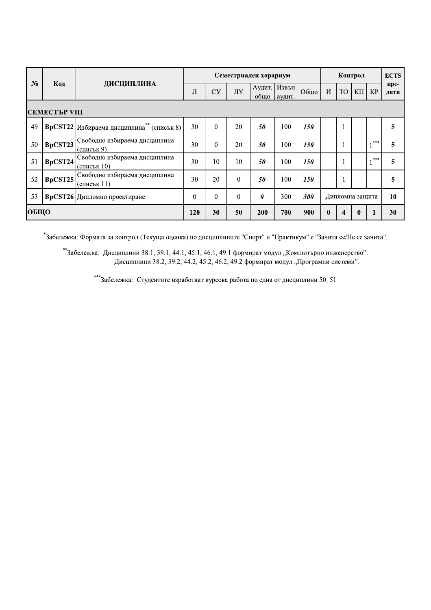|                      |         |                                                              |          |          |          | Семестриален хорариум |                 |                              | Контрол<br><b>ECTS</b> |              |  |       |   |  |  |
|----------------------|---------|--------------------------------------------------------------|----------|----------|----------|-----------------------|-----------------|------------------------------|------------------------|--------------|--|-------|---|--|--|
| $N_2$                | Код     | ДИСЦИПЛИНА                                                   | Л        | Cy       | ЛУ       | Аудит.<br>общо        | Извън<br>аудит. | Общо<br><b>TO</b><br>И<br>ΚП | <b>KP</b>              | кре-<br>ДИТИ |  |       |   |  |  |
| <b>СЕМЕСТЪР VIII</b> |         |                                                              |          |          |          |                       |                 |                              |                        |              |  |       |   |  |  |
| 49                   |         | <b>ВрСЅТ22</b> Избираема дисциплина <sup>**</sup> (списък 8) | 30       | $\theta$ | 20       | 50                    | 100             | 150                          |                        |              |  |       | 5 |  |  |
| 50                   | BpCST23 | Свободно избираема дисциплина<br>(списък 9)                  | 30       | $\theta$ | 20       | 50                    | 100             | 150                          |                        |              |  | $***$ | 5 |  |  |
| 51                   | BpCST24 | Свободно избираема дисциплина<br>(списък 10)                 | 30       | 10       | 10       | 50                    | 100             | 150                          |                        |              |  | ***   | 5 |  |  |
| 52                   | BpCST25 | Свободно избираема дисциплина<br>(списък 11)                 | 30       | 20       | $\theta$ | 50                    | 100             | <i>150</i>                   |                        |              |  |       | 5 |  |  |
| 53                   |         | <b>ВрСЅТ26</b> Дипломно проектиране                          | $\theta$ | $\theta$ | $\theta$ | $\theta$              | 300             | 300                          | Дипломна защита        | 10           |  |       |   |  |  |
| <b>ОБЩО</b>          |         | 120                                                          | 30       | 50       | 200      | 700                   | 900             | $\bf{0}$                     | 4                      | $\bf{0}$     |  | 30    |   |  |  |

\*<br>Забележка: Формата за контрол (Текуща оценка) по дисциплините "Спорт" и "Практикум" е "Зачита се/Не се зачита".

\*\*Забележка: Дисциплини 38.1, 39.1, 44.1, 45.1, 46.1, 49.1 формират модул "Компютърно инженерство". Дисциплини 38.2, 39.2, 44.2, 45.2, 46.2, 49.2 формират модул "Програмни системи".

\*\*\*Забележка: Студентите изработват курсова работа по една от дисциплини 50, 51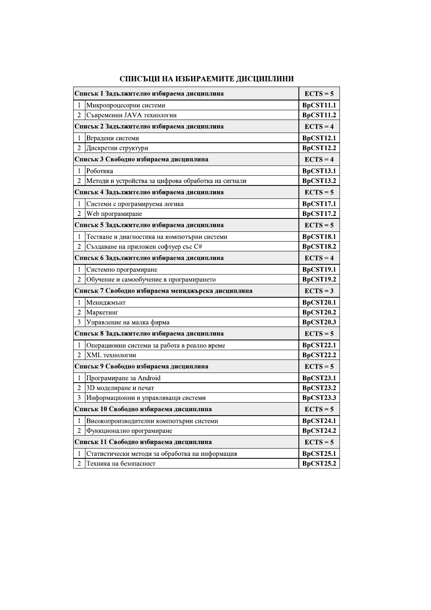| Списък 1 Задължително избираема дисциплина |                                                     |                  |  |  |  |  |  |
|--------------------------------------------|-----------------------------------------------------|------------------|--|--|--|--|--|
| 1                                          | Микропроцесорни системи                             | BpCST11.1        |  |  |  |  |  |
| $\overline{2}$                             | Съвременни JAVA технологии                          | <b>BpCST11.2</b> |  |  |  |  |  |
|                                            | Списък 2 Задължително избираема дисциплина          |                  |  |  |  |  |  |
| 1                                          | Вградени системи                                    | <b>BpCST12.1</b> |  |  |  |  |  |
| $\overline{2}$                             | Дискретни структури                                 | <b>BpCST12.2</b> |  |  |  |  |  |
|                                            | Списък 3 Свободно избираема дисциплина              | $ECTS = 4$       |  |  |  |  |  |
| 1                                          | Роботика                                            | <b>BpCST13.1</b> |  |  |  |  |  |
| $\overline{2}$                             | Методи и устройства за цифрова обработка на сигнали | <b>BpCST13.2</b> |  |  |  |  |  |
|                                            | Списък 4 Задължително избираема дисциплина          | $ECTS = 5$       |  |  |  |  |  |
| 1                                          | Системи с програмируема логика                      | <b>BpCST17.1</b> |  |  |  |  |  |
| $\overline{2}$                             | Web програмиране                                    | <b>BpCST17.2</b> |  |  |  |  |  |
|                                            | Списък 5 Задължително избираема дисциплина          | $ECTS = 5$       |  |  |  |  |  |
| 1                                          | Тестване и диагностика на компютърни системи        | <b>BpCST18.1</b> |  |  |  |  |  |
| $\overline{2}$                             | Създаване на приложен софтуер със С#                | <b>BpCST18.2</b> |  |  |  |  |  |
|                                            | Списък 6 Задължително избираема дисциплина          | $ECTS = 4$       |  |  |  |  |  |
| 1                                          | Системно програмиране                               | <b>BpCST19.1</b> |  |  |  |  |  |
| $\overline{c}$                             | Обучение и самообучение в програмирането            | <b>BpCST19.2</b> |  |  |  |  |  |
|                                            | Списьк 7 Свободно избираема мениджьрска дисциплина  | $ECTS = 3$       |  |  |  |  |  |
| 1                                          | Мениджмънт                                          | <b>BpCST20.1</b> |  |  |  |  |  |
| $\overline{2}$                             | Маркетинг                                           | <b>BpCST20.2</b> |  |  |  |  |  |
| 3                                          | Управление на малка фирма                           | <b>BpCST20.3</b> |  |  |  |  |  |
|                                            | Списък 8 Задължително избираема дисциплина          | $ECTS = 5$       |  |  |  |  |  |
| 1                                          | Операционни системи за работа в реално време        | <b>BpCST22.1</b> |  |  |  |  |  |
| $\overline{2}$                             | XML технологии                                      | <b>BpCST22.2</b> |  |  |  |  |  |
|                                            | Списък 9 Свободно избираема дисциплина              | $ECTS = 5$       |  |  |  |  |  |
| 1                                          | Програмиране за Android                             | <b>BpCST23.1</b> |  |  |  |  |  |
| $\overline{2}$                             | 3D моделиране и печат                               | <b>BpCST23.2</b> |  |  |  |  |  |
| 3                                          | Информационни и управляващи системи                 | <b>BpCST23.3</b> |  |  |  |  |  |
|                                            | Списьк 10 Свободно избираема дисциплина             |                  |  |  |  |  |  |
| 1                                          | Високопроизводителни компютърни системи             | <b>BpCST24.1</b> |  |  |  |  |  |
| $\overline{c}$                             | Функционално програмиране                           | <b>BpCST24.2</b> |  |  |  |  |  |
|                                            | Списък 11 Свободно избираема дисциплина             |                  |  |  |  |  |  |
| 1                                          | Статистически методи за обработка на информация     | <b>BpCST25.1</b> |  |  |  |  |  |
| $\overline{2}$                             | Техника на безопасност                              | <b>BpCST25.2</b> |  |  |  |  |  |

## СПИСЪЦИ НА ИЗБИРАЕМИТЕ ДИСЦИПЛИНИ